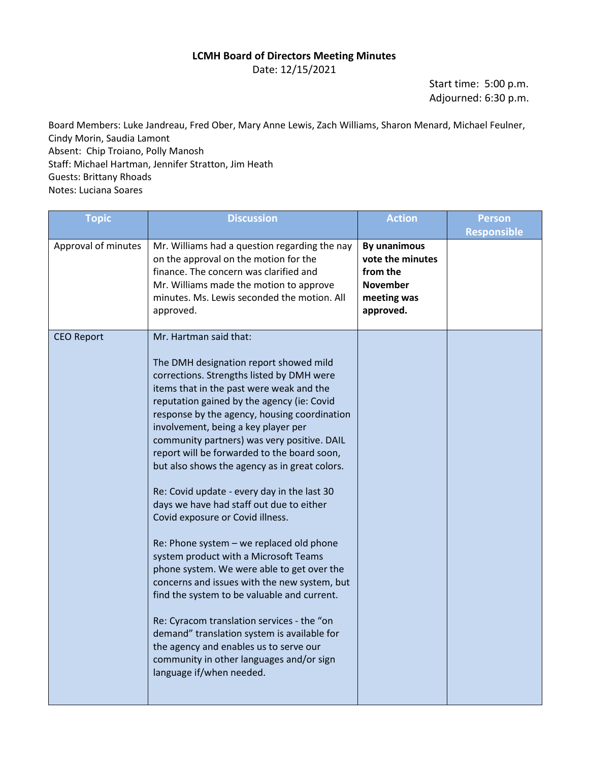## **LCMH Board of Directors Meeting Minutes**

Date: 12/15/2021

Start time: 5:00 p.m. Adjourned: 6:30 p.m.

Board Members: Luke Jandreau, Fred Ober, Mary Anne Lewis, Zach Williams, Sharon Menard, Michael Feulner, Cindy Morin, Saudia Lamont Absent: Chip Troiano, Polly Manosh Staff: Michael Hartman, Jennifer Stratton, Jim Heath Guests: Brittany Rhoads Notes: Luciana Soares

| <b>Topic</b>        | <b>Discussion</b>                                                                                                                                                                                                                                                                                                                                                                                                                                                                                                                                                                                                                                                                                                                                                                                                                                                                                                                                                                                                             | <b>Action</b>                                                                               | <b>Person</b>      |
|---------------------|-------------------------------------------------------------------------------------------------------------------------------------------------------------------------------------------------------------------------------------------------------------------------------------------------------------------------------------------------------------------------------------------------------------------------------------------------------------------------------------------------------------------------------------------------------------------------------------------------------------------------------------------------------------------------------------------------------------------------------------------------------------------------------------------------------------------------------------------------------------------------------------------------------------------------------------------------------------------------------------------------------------------------------|---------------------------------------------------------------------------------------------|--------------------|
|                     |                                                                                                                                                                                                                                                                                                                                                                                                                                                                                                                                                                                                                                                                                                                                                                                                                                                                                                                                                                                                                               |                                                                                             | <b>Responsible</b> |
| Approval of minutes | Mr. Williams had a question regarding the nay<br>on the approval on the motion for the<br>finance. The concern was clarified and<br>Mr. Williams made the motion to approve<br>minutes. Ms. Lewis seconded the motion. All<br>approved.                                                                                                                                                                                                                                                                                                                                                                                                                                                                                                                                                                                                                                                                                                                                                                                       | By unanimous<br>vote the minutes<br>from the<br><b>November</b><br>meeting was<br>approved. |                    |
| <b>CEO Report</b>   | Mr. Hartman said that:<br>The DMH designation report showed mild<br>corrections. Strengths listed by DMH were<br>items that in the past were weak and the<br>reputation gained by the agency (ie: Covid<br>response by the agency, housing coordination<br>involvement, being a key player per<br>community partners) was very positive. DAIL<br>report will be forwarded to the board soon,<br>but also shows the agency as in great colors.<br>Re: Covid update - every day in the last 30<br>days we have had staff out due to either<br>Covid exposure or Covid illness.<br>Re: Phone system - we replaced old phone<br>system product with a Microsoft Teams<br>phone system. We were able to get over the<br>concerns and issues with the new system, but<br>find the system to be valuable and current.<br>Re: Cyracom translation services - the "on<br>demand" translation system is available for<br>the agency and enables us to serve our<br>community in other languages and/or sign<br>language if/when needed. |                                                                                             |                    |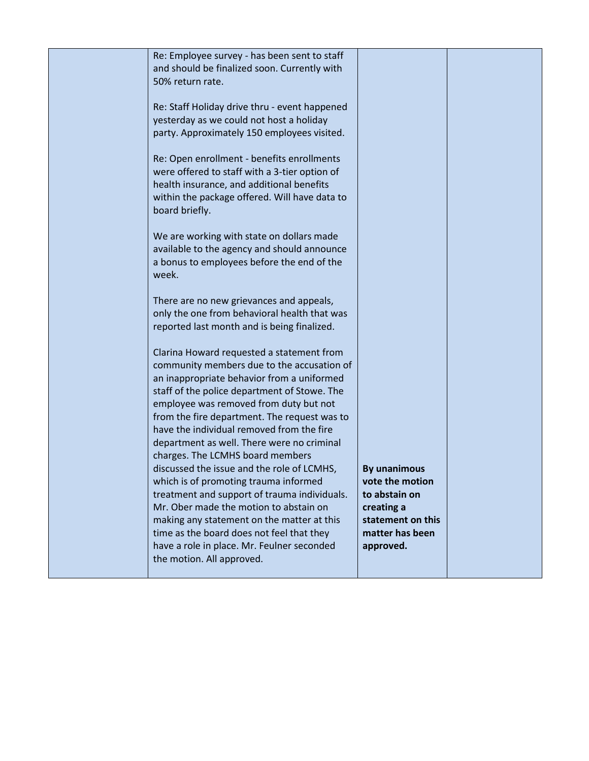| Re: Employee survey - has been sent to staff  |                     |  |
|-----------------------------------------------|---------------------|--|
| and should be finalized soon. Currently with  |                     |  |
| 50% return rate.                              |                     |  |
|                                               |                     |  |
| Re: Staff Holiday drive thru - event happened |                     |  |
| yesterday as we could not host a holiday      |                     |  |
| party. Approximately 150 employees visited.   |                     |  |
|                                               |                     |  |
|                                               |                     |  |
| Re: Open enrollment - benefits enrollments    |                     |  |
| were offered to staff with a 3-tier option of |                     |  |
| health insurance, and additional benefits     |                     |  |
| within the package offered. Will have data to |                     |  |
| board briefly.                                |                     |  |
|                                               |                     |  |
| We are working with state on dollars made     |                     |  |
| available to the agency and should announce   |                     |  |
| a bonus to employees before the end of the    |                     |  |
|                                               |                     |  |
| week.                                         |                     |  |
|                                               |                     |  |
| There are no new grievances and appeals,      |                     |  |
| only the one from behavioral health that was  |                     |  |
| reported last month and is being finalized.   |                     |  |
|                                               |                     |  |
| Clarina Howard requested a statement from     |                     |  |
| community members due to the accusation of    |                     |  |
| an inappropriate behavior from a uniformed    |                     |  |
| staff of the police department of Stowe. The  |                     |  |
| employee was removed from duty but not        |                     |  |
|                                               |                     |  |
| from the fire department. The request was to  |                     |  |
| have the individual removed from the fire     |                     |  |
| department as well. There were no criminal    |                     |  |
| charges. The LCMHS board members              |                     |  |
| discussed the issue and the role of LCMHS,    | <b>By unanimous</b> |  |
| which is of promoting trauma informed         | vote the motion     |  |
| treatment and support of trauma individuals.  | to abstain on       |  |
| Mr. Ober made the motion to abstain on        | creating a          |  |
| making any statement on the matter at this    | statement on this   |  |
| time as the board does not feel that they     | matter has been     |  |
|                                               |                     |  |
| have a role in place. Mr. Feulner seconded    | approved.           |  |
| the motion. All approved.                     |                     |  |
|                                               |                     |  |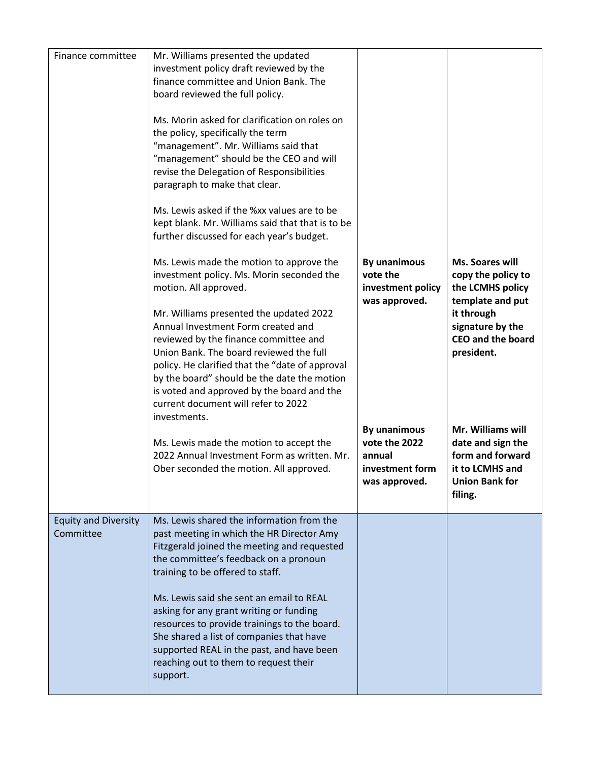| Finance committee                        | Mr. Williams presented the updated<br>investment policy draft reviewed by the<br>finance committee and Union Bank. The<br>board reviewed the full policy.<br>Ms. Morin asked for clarification on roles on<br>the policy, specifically the term<br>"management". Mr. Williams said that<br>"management" should be the CEO and will<br>revise the Delegation of Responsibilities<br>paragraph to make that clear.<br>Ms. Lewis asked if the %xx values are to be<br>kept blank. Mr. Williams said that that is to be<br>further discussed for each year's budget.<br>Ms. Lewis made the motion to approve the<br>investment policy. Ms. Morin seconded the | By unanimous<br>vote the<br>investment policy<br>was approved.<br><b>By unanimous</b><br>vote the 2022<br>annual<br>investment form<br>was approved. | Ms. Soares will<br>copy the policy to                                                                                                                                                                                                 |
|------------------------------------------|-----------------------------------------------------------------------------------------------------------------------------------------------------------------------------------------------------------------------------------------------------------------------------------------------------------------------------------------------------------------------------------------------------------------------------------------------------------------------------------------------------------------------------------------------------------------------------------------------------------------------------------------------------------|------------------------------------------------------------------------------------------------------------------------------------------------------|---------------------------------------------------------------------------------------------------------------------------------------------------------------------------------------------------------------------------------------|
|                                          | motion. All approved.<br>Mr. Williams presented the updated 2022<br>Annual Investment Form created and<br>reviewed by the finance committee and<br>Union Bank. The board reviewed the full<br>policy. He clarified that the "date of approval<br>by the board" should be the date the motion<br>is voted and approved by the board and the<br>current document will refer to 2022<br>investments.<br>Ms. Lewis made the motion to accept the<br>2022 Annual Investment Form as written. Mr.<br>Ober seconded the motion. All approved.                                                                                                                    |                                                                                                                                                      | the LCMHS policy<br>template and put<br>it through<br>signature by the<br><b>CEO and the board</b><br>president.<br>Mr. Williams will<br>date and sign the<br>form and forward<br>it to LCMHS and<br><b>Union Bank for</b><br>filing. |
| <b>Equity and Diversity</b><br>Committee | Ms. Lewis shared the information from the<br>past meeting in which the HR Director Amy<br>Fitzgerald joined the meeting and requested<br>the committee's feedback on a pronoun<br>training to be offered to staff.<br>Ms. Lewis said she sent an email to REAL<br>asking for any grant writing or funding<br>resources to provide trainings to the board.<br>She shared a list of companies that have<br>supported REAL in the past, and have been<br>reaching out to them to request their<br>support.                                                                                                                                                   |                                                                                                                                                      |                                                                                                                                                                                                                                       |